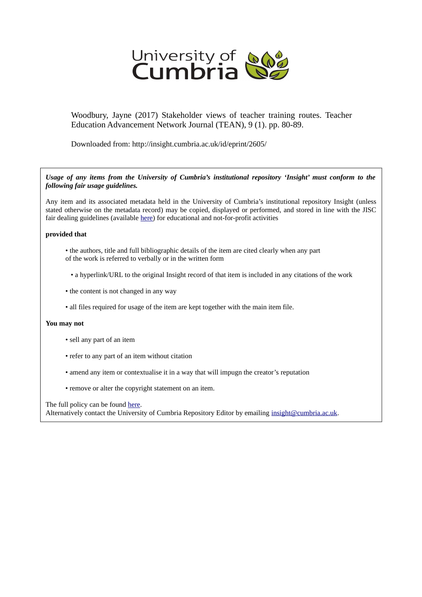

Woodbury, Jayne (2017) Stakeholder views of teacher training routes. Teacher Education Advancement Network Journal (TEAN), 9 (1). pp. 80-89.

Downloaded from: http://insight.cumbria.ac.uk/id/eprint/2605/

*Usage of any items from the University of Cumbria's institutional repository 'Insight' must conform to the following fair usage guidelines.*

Any item and its associated metadata held in the University of Cumbria's institutional repository Insight (unless stated otherwise on the metadata record) may be copied, displayed or performed, and stored in line with the JISC fair dealing guidelines (available [here\)](http://www.ukoln.ac.uk/services/elib/papers/pa/fair/) for educational and not-for-profit activities

#### **provided that**

- the authors, title and full bibliographic details of the item are cited clearly when any part of the work is referred to verbally or in the written form
	- a hyperlink/URL to the original Insight record of that item is included in any citations of the work
- the content is not changed in any way
- all files required for usage of the item are kept together with the main item file.

#### **You may not**

- sell any part of an item
- refer to any part of an item without citation
- amend any item or contextualise it in a way that will impugn the creator's reputation
- remove or alter the copyright statement on an item.

The full policy can be found [here.](http://insight.cumbria.ac.uk/legal.html#section5)

Alternatively contact the University of Cumbria Repository Editor by emailing [insight@cumbria.ac.uk.](mailto:insight@cumbria.ac.uk)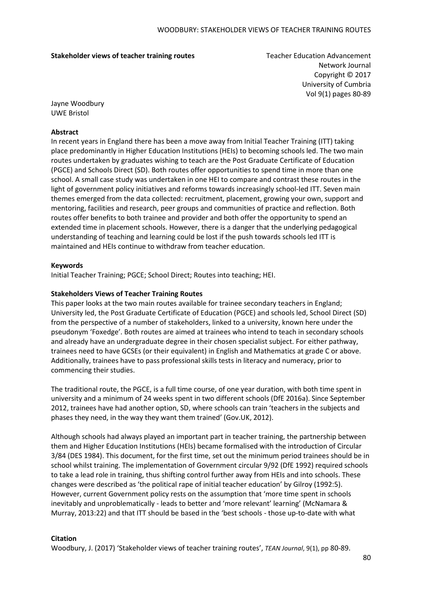#### **Stakeholder views of teacher training routes** Teacher Education Advancement

Network Journal Copyright © 2017 University of Cumbria Vol 9(1) pages 80-89

Jayne Woodbury UWE Bristol

### **Abstract**

In recent years in England there has been a move away from Initial Teacher Training (ITT) taking place predominantly in Higher Education Institutions (HEIs) to becoming schools led. The two main routes undertaken by graduates wishing to teach are the Post Graduate Certificate of Education (PGCE) and Schools Direct (SD). Both routes offer opportunities to spend time in more than one school. A small case study was undertaken in one HEI to compare and contrast these routes in the light of government policy initiatives and reforms towards increasingly school-led ITT. Seven main themes emerged from the data collected: recruitment, placement, growing your own, support and mentoring, facilities and research, peer groups and communities of practice and reflection. Both routes offer benefits to both trainee and provider and both offer the opportunity to spend an extended time in placement schools. However, there is a danger that the underlying pedagogical understanding of teaching and learning could be lost if the push towards schools led ITT is maintained and HEIs continue to withdraw from teacher education.

### **Keywords**

Initial Teacher Training; PGCE; School Direct; Routes into teaching; HEI.

### **Stakeholders Views of Teacher Training Routes**

This paper looks at the two main routes available for trainee secondary teachers in England; University led, the Post Graduate Certificate of Education (PGCE) and schools led, School Direct (SD) from the perspective of a number of stakeholders, linked to a university, known here under the pseudonym 'Foxedge'. Both routes are aimed at trainees who intend to teach in secondary schools and already have an undergraduate degree in their chosen specialist subject. For either pathway, trainees need to have GCSEs (or their equivalent) in English and Mathematics at grade C or above. Additionally, trainees have to pass professional skills tests in literacy and numeracy, prior to commencing their studies.

The traditional route, the PGCE, is a full time course, of one year duration, with both time spent in university and a minimum of 24 weeks spent in two different schools (DfE 2016a). Since September 2012, trainees have had another option, SD, where schools can train 'teachers in the subjects and phases they need, in the way they want them trained' (Gov.UK, 2012).

Although schools had always played an important part in teacher training, the partnership between them and Higher Education Institutions (HEIs) became formalised with the introduction of Circular 3/84 (DES 1984). This document, for the first time, set out the minimum period trainees should be in school whilst training. The implementation of Government circular 9/92 (DfE 1992) required schools to take a lead role in training, thus shifting control further away from HEIs and into schools. These changes were described as 'the political rape of initial teacher education' by Gilroy (1992:5). However, current Government policy rests on the assumption that 'more time spent in schools inevitably and unproblematically - leads to better and 'more relevant' learning' (McNamara & Murray, 2013:22) and that ITT should be based in the 'best schools - those up-to-date with what

### **Citation**

Woodbury, J. (2017) 'Stakeholder views of teacher training routes', *TEAN Journal*, 9(1), pp 80-89.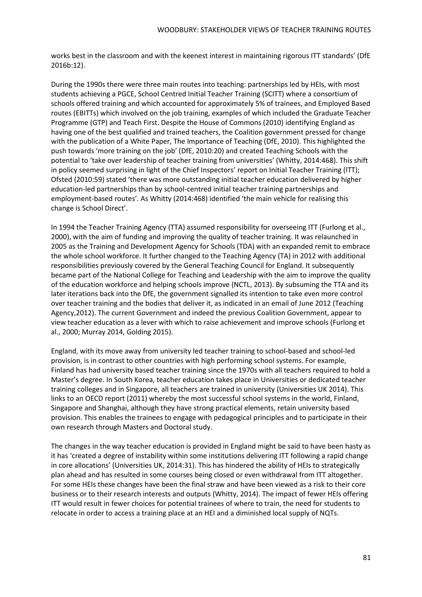works best in the classroom and with the keenest interest in maintaining rigorous ITT standards' (DfE 2016b:12).

During the 1990s there were three main routes into teaching: partnerships led by HEIs, with most students achieving a PGCE, School Centred Initial Teacher Training (SCITT) where a consortium of schools offered training and which accounted for approximately 5% of trainees, and Employed Based routes (EBITTs) which involved on the job training, examples of which included the Graduate Teacher Programme (GTP) and Teach First. Despite the House of Commons (2010) identifying England as having one of the best qualified and trained teachers, the Coalition government pressed for change with the publication of a White Paper, The Importance of Teaching (DfE, 2010). This highlighted the push towards 'more training on the job' (DfE, 2010:20) and created Teaching Schools with the potential to 'take over leadership of teacher training from universities' (Whitty, 2014:468). This shift in policy seemed surprising in light of the Chief Inspectors' report on Initial Teacher Training (ITT); Ofsted (2010:59) stated 'there was more outstanding initial teacher education delivered by higher education-led partnerships than by school-centred initial teacher training partnerships and employment-based routes'. As Whitty (2014:468) identified 'the main vehicle for realising this change is School Direct'.

In 1994 the Teacher Training Agency (TTA) assumed responsibility for overseeing ITT (Furlong et al., 2000), with the aim of funding and improving the quality of teacher training. It was relaunched in 2005 as the Training and Development Agency for Schools (TDA) with an expanded remit to embrace the whole school workforce. It further changed to the Teaching Agency (TA) in 2012 with additional responsibilities previously covered by the General Teaching Council for England. It subsequently became part of the National College for Teaching and Leadership with the aim to improve the quality of the education workforce and helping schools improve (NCTL, 2013). By subsuming the TTA and its later iterations back into the DfE, the government signalled its intention to take even more control over teacher training and the bodies that deliver it, as indicated in an email of June 2012 (Teaching Agency,2012). The current Government and indeed the previous Coalition Government, appear to view teacher education as a lever with which to raise achievement and improve schools (Furlong et al., 2000; Murray 2014, Golding 2015).

England, with its move away from university led teacher training to school-based and school-led provision, is in contrast to other countries with high performing school systems. For example, Finland has had university based teacher training since the 1970s with all teachers required to hold a Master's degree. In South Korea, teacher education takes place in Universities or dedicated teacher training colleges and in Singapore, all teachers are trained in university (Universities UK 2014). This links to an OECD report (2011) whereby the most successful school systems in the world, Finland, Singapore and Shanghai, although they have strong practical elements, retain university based provision. This enables the trainees to engage with pedagogical principles and to participate in their own research through Masters and Doctoral study.

The changes in the way teacher education is provided in England might be said to have been hasty as it has 'created a degree of instability within some institutions delivering ITT following a rapid change in core allocations' (Universities UK, 2014:31). This has hindered the ability of HEIs to strategically plan ahead and has resulted in some courses being closed or even withdrawal from ITT altogether. For some HEIs these changes have been the final straw and have been viewed as a risk to their core business or to their research interests and outputs (Whitty, 2014). The impact of fewer HEIs offering ITT would result in fewer choices for potential trainees of where to train, the need for students to relocate in order to access a training place at an HEI and a diminished local supply of NQTs.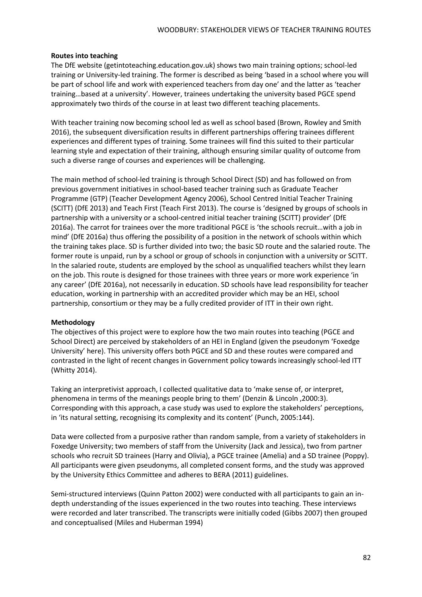## **Routes into teaching**

The DfE website (getintoteaching.education.gov.uk) shows two main training options; school-led training or University-led training. The former is described as being 'based in a school where you will be part of school life and work with experienced teachers from day one' and the latter as 'teacher training…based at a university'. However, trainees undertaking the university based PGCE spend approximately two thirds of the course in at least two different teaching placements.

With teacher training now becoming school led as well as school based (Brown, Rowley and Smith 2016), the subsequent diversification results in different partnerships offering trainees different experiences and different types of training. Some trainees will find this suited to their particular learning style and expectation of their training, although ensuring similar quality of outcome from such a diverse range of courses and experiences will be challenging.

The main method of school-led training is through School Direct (SD) and has followed on from previous government initiatives in school-based teacher training such as Graduate Teacher Programme (GTP) (Teacher Development Agency 2006), School Centred Initial Teacher Training (SCITT) (DfE 2013) and Teach First (Teach First 2013). The course is 'designed by groups of schools in partnership with a university or a school-centred initial teacher training (SCITT) provider' (DfE 2016a). The carrot for trainees over the more traditional PGCE is 'the schools recruit…with a job in mind' (DfE 2016a) thus offering the possibility of a position in the network of schools within which the training takes place. SD is further divided into two; the basic SD route and the salaried route. The former route is unpaid, run by a school or group of schools in conjunction with a university or SCITT. In the salaried route, students are employed by the school as unqualified teachers whilst they learn on the job. This route is designed for those trainees with three years or more work experience 'in any career' (DfE 2016a), not necessarily in education. SD schools have lead responsibility for teacher education, working in partnership with an accredited provider which may be an HEI, school partnership, consortium or they may be a fully credited provider of ITT in their own right.

### **Methodology**

The objectives of this project were to explore how the two main routes into teaching (PGCE and School Direct) are perceived by stakeholders of an HEI in England (given the pseudonym 'Foxedge University' here). This university offers both PGCE and SD and these routes were compared and contrasted in the light of recent changes in Government policy towards increasingly school-led ITT (Whitty 2014).

Taking an interpretivist approach, I collected qualitative data to 'make sense of, or interpret, phenomena in terms of the meanings people bring to them' (Denzin & Lincoln ,2000:3). Corresponding with this approach, a case study was used to explore the stakeholders' perceptions, in 'its natural setting, recognising its complexity and its content' (Punch, 2005:144).

Data were collected from a purposive rather than random sample, from a variety of stakeholders in Foxedge University; two members of staff from the University (Jack and Jessica), two from partner schools who recruit SD trainees (Harry and Olivia), a PGCE trainee (Amelia) and a SD trainee (Poppy). All participants were given pseudonyms, all completed consent forms, and the study was approved by the University Ethics Committee and adheres to BERA (2011) guidelines.

Semi-structured interviews (Quinn Patton 2002) were conducted with all participants to gain an indepth understanding of the issues experienced in the two routes into teaching. These interviews were recorded and later transcribed. The transcripts were initially coded (Gibbs 2007) then grouped and conceptualised (Miles and Huberman 1994)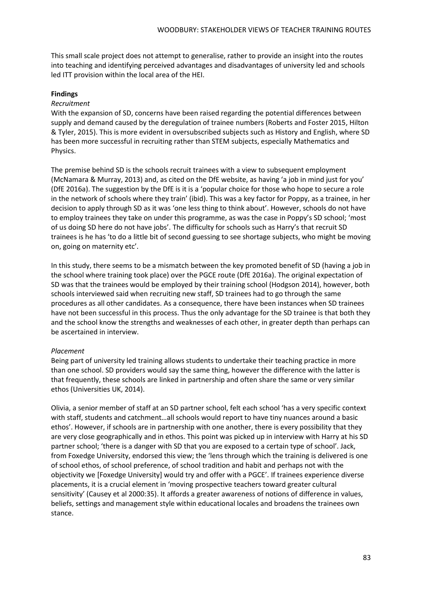This small scale project does not attempt to generalise, rather to provide an insight into the routes into teaching and identifying perceived advantages and disadvantages of university led and schools led ITT provision within the local area of the HEI.

## **Findings**

## *Recruitment*

With the expansion of SD, concerns have been raised regarding the potential differences between supply and demand caused by the deregulation of trainee numbers (Roberts and Foster 2015, Hilton & Tyler, 2015). This is more evident in oversubscribed subjects such as History and English, where SD has been more successful in recruiting rather than STEM subjects, especially Mathematics and Physics.

The premise behind SD is the schools recruit trainees with a view to subsequent employment (McNamara & Murray, 2013) and, as cited on the DfE website, as having 'a job in mind just for you' (DfE 2016a). The suggestion by the DfE is it is a 'popular choice for those who hope to secure a role in the network of schools where they train' (ibid). This was a key factor for Poppy, as a trainee, in her decision to apply through SD as it was 'one less thing to think about'. However, schools do not have to employ trainees they take on under this programme, as was the case in Poppy's SD school; 'most of us doing SD here do not have jobs'. The difficulty for schools such as Harry's that recruit SD trainees is he has 'to do a little bit of second guessing to see shortage subjects, who might be moving on, going on maternity etc'.

In this study, there seems to be a mismatch between the key promoted benefit of SD (having a job in the school where training took place) over the PGCE route (DfE 2016a). The original expectation of SD was that the trainees would be employed by their training school (Hodgson 2014), however, both schools interviewed said when recruiting new staff, SD trainees had to go through the same procedures as all other candidates. As a consequence, there have been instances when SD trainees have not been successful in this process. Thus the only advantage for the SD trainee is that both they and the school know the strengths and weaknesses of each other, in greater depth than perhaps can be ascertained in interview.

### *Placement*

Being part of university led training allows students to undertake their teaching practice in more than one school. SD providers would say the same thing, however the difference with the latter is that frequently, these schools are linked in partnership and often share the same or very similar ethos (Universities UK, 2014).

Olivia, a senior member of staff at an SD partner school, felt each school 'has a very specific context with staff, students and catchment…all schools would report to have tiny nuances around a basic ethos'. However, if schools are in partnership with one another, there is every possibility that they are very close geographically and in ethos. This point was picked up in interview with Harry at his SD partner school; 'there is a danger with SD that you are exposed to a certain type of school'. Jack, from Foxedge University, endorsed this view; the 'lens through which the training is delivered is one of school ethos, of school preference, of school tradition and habit and perhaps not with the objectivity we [Foxedge University] would try and offer with a PGCE'. If trainees experience diverse placements, it is a crucial element in 'moving prospective teachers toward greater cultural sensitivity' (Causey et al 2000:35). It affords a greater awareness of notions of difference in values, beliefs, settings and management style within educational locales and broadens the trainees own stance.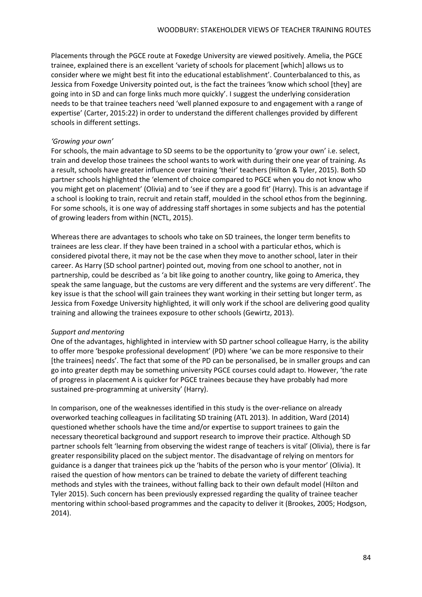Placements through the PGCE route at Foxedge University are viewed positively. Amelia, the PGCE trainee, explained there is an excellent 'variety of schools for placement [which] allows us to consider where we might best fit into the educational establishment'. Counterbalanced to this, as Jessica from Foxedge University pointed out, is the fact the trainees 'know which school [they] are going into in SD and can forge links much more quickly'. I suggest the underlying consideration needs to be that trainee teachers need 'well planned exposure to and engagement with a range of expertise' (Carter, 2015:22) in order to understand the different challenges provided by different schools in different settings.

#### *'Growing your own'*

For schools, the main advantage to SD seems to be the opportunity to 'grow your own' i.e. select, train and develop those trainees the school wants to work with during their one year of training. As a result, schools have greater influence over training 'their' teachers (Hilton & Tyler, 2015). Both SD partner schools highlighted the 'element of choice compared to PGCE when you do not know who you might get on placement' (Olivia) and to 'see if they are a good fit' (Harry). This is an advantage if a school is looking to train, recruit and retain staff, moulded in the school ethos from the beginning. For some schools, it is one way of addressing staff shortages in some subjects and has the potential of growing leaders from within (NCTL, 2015).

Whereas there are advantages to schools who take on SD trainees, the longer term benefits to trainees are less clear. If they have been trained in a school with a particular ethos, which is considered pivotal there, it may not be the case when they move to another school, later in their career. As Harry (SD school partner) pointed out, moving from one school to another, not in partnership, could be described as 'a bit like going to another country, like going to America, they speak the same language, but the customs are very different and the systems are very different'. The key issue is that the school will gain trainees they want working in their setting but longer term, as Jessica from Foxedge University highlighted, it will only work if the school are delivering good quality training and allowing the trainees exposure to other schools (Gewirtz, 2013).

#### *Support and mentoring*

One of the advantages, highlighted in interview with SD partner school colleague Harry, is the ability to offer more 'bespoke professional development' (PD) where 'we can be more responsive to their [the trainees] needs'. The fact that some of the PD can be personalised, be in smaller groups and can go into greater depth may be something university PGCE courses could adapt to. However, 'the rate of progress in placement A is quicker for PGCE trainees because they have probably had more sustained pre-programming at university' (Harry).

In comparison, one of the weaknesses identified in this study is the over-reliance on already overworked teaching colleagues in facilitating SD training (ATL 2013). In addition, Ward (2014) questioned whether schools have the time and/or expertise to support trainees to gain the necessary theoretical background and support research to improve their practice. Although SD partner schools felt 'learning from observing the widest range of teachers is vital' (Olivia), there is far greater responsibility placed on the subject mentor. The disadvantage of relying on mentors for guidance is a danger that trainees pick up the 'habits of the person who is your mentor' (Olivia). It raised the question of how mentors can be trained to debate the variety of different teaching methods and styles with the trainees, without falling back to their own default model (Hilton and Tyler 2015). Such concern has been previously expressed regarding the quality of trainee teacher mentoring within school-based programmes and the capacity to deliver it (Brookes, 2005; Hodgson, 2014).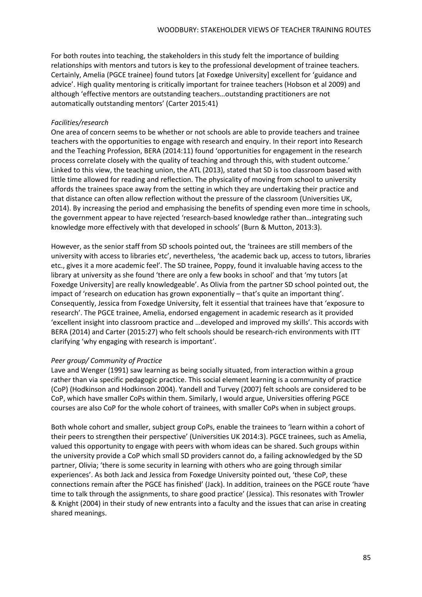For both routes into teaching, the stakeholders in this study felt the importance of building relationships with mentors and tutors is key to the professional development of trainee teachers. Certainly, Amelia (PGCE trainee) found tutors [at Foxedge University] excellent for 'guidance and advice'. High quality mentoring is critically important for trainee teachers (Hobson et al 2009) and although 'effective mentors are outstanding teachers…outstanding practitioners are not automatically outstanding mentors' (Carter 2015:41)

## *Facilities/research*

One area of concern seems to be whether or not schools are able to provide teachers and trainee teachers with the opportunities to engage with research and enquiry. In their report into Research and the Teaching Profession, BERA (2014:11) found 'opportunities for engagement in the research process correlate closely with the quality of teaching and through this, with student outcome.' Linked to this view, the teaching union, the ATL (2013), stated that SD is too classroom based with little time allowed for reading and reflection. The physicality of moving from school to university affords the trainees space away from the setting in which they are undertaking their practice and that distance can often allow reflection without the pressure of the classroom (Universities UK, 2014). By increasing the period and emphasising the benefits of spending even more time in schools, the government appear to have rejected 'research-based knowledge rather than…integrating such knowledge more effectively with that developed in schools' (Burn & Mutton, 2013:3).

However, as the senior staff from SD schools pointed out, the 'trainees are still members of the university with access to libraries etc', nevertheless, 'the academic back up, access to tutors, libraries etc., gives it a more academic feel'. The SD trainee, Poppy, found it invaluable having access to the library at university as she found 'there are only a few books in school' and that 'my tutors [at Foxedge University] are really knowledgeable'. As Olivia from the partner SD school pointed out, the impact of 'research on education has grown exponentially – that's quite an important thing'. Consequently, Jessica from Foxedge University, felt it essential that trainees have that 'exposure to research'. The PGCE trainee, Amelia, endorsed engagement in academic research as it provided 'excellent insight into classroom practice and …developed and improved my skills'. This accords with BERA (2014) and Carter (2015:27) who felt schools should be research-rich environments with ITT clarifying 'why engaging with research is important'.

### *Peer group/ Community of Practice*

Lave and Wenger (1991) saw learning as being socially situated, from interaction within a group rather than via specific pedagogic practice. This social element learning is a community of practice (CoP) (Hodkinson and Hodkinson 2004). Yandell and Turvey (2007) felt schools are considered to be CoP, which have smaller CoPs within them. Similarly, I would argue, Universities offering PGCE courses are also CoP for the whole cohort of trainees, with smaller CoPs when in subject groups.

Both whole cohort and smaller, subject group CoPs, enable the trainees to 'learn within a cohort of their peers to strengthen their perspective' (Universities UK 2014:3). PGCE trainees, such as Amelia, valued this opportunity to engage with peers with whom ideas can be shared. Such groups within the university provide a CoP which small SD providers cannot do, a failing acknowledged by the SD partner, Olivia; 'there is some security in learning with others who are going through similar experiences'. As both Jack and Jessica from Foxedge University pointed out, 'these CoP, these connections remain after the PGCE has finished' (Jack). In addition, trainees on the PGCE route 'have time to talk through the assignments, to share good practice' (Jessica). This resonates with Trowler & Knight (2004) in their study of new entrants into a faculty and the issues that can arise in creating shared meanings.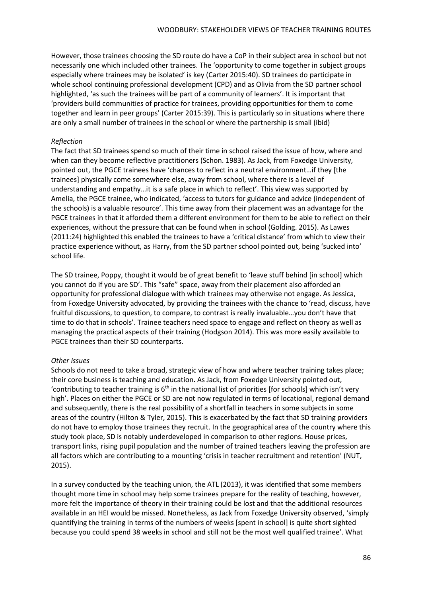However, those trainees choosing the SD route do have a CoP in their subject area in school but not necessarily one which included other trainees. The 'opportunity to come together in subject groups especially where trainees may be isolated' is key (Carter 2015:40). SD trainees do participate in whole school continuing professional development (CPD) and as Olivia from the SD partner school highlighted, 'as such the trainees will be part of a community of learners'. It is important that 'providers build communities of practice for trainees, providing opportunities for them to come together and learn in peer groups' (Carter 2015:39). This is particularly so in situations where there are only a small number of trainees in the school or where the partnership is small (ibid)

## *Reflection*

The fact that SD trainees spend so much of their time in school raised the issue of how, where and when can they become reflective practitioners (Schon. 1983). As Jack, from Foxedge University, pointed out, the PGCE trainees have 'chances to reflect in a neutral environment…if they [the trainees] physically come somewhere else, away from school, where there is a level of understanding and empathy…it is a safe place in which to reflect'. This view was supported by Amelia, the PGCE trainee, who indicated, 'access to tutors for guidance and advice (independent of the schools) is a valuable resource'. This time away from their placement was an advantage for the PGCE trainees in that it afforded them a different environment for them to be able to reflect on their experiences, without the pressure that can be found when in school (Golding. 2015). As Lawes (2011:24) highlighted this enabled the trainees to have a 'critical distance' from which to view their practice experience without, as Harry, from the SD partner school pointed out, being 'sucked into' school life.

The SD trainee, Poppy, thought it would be of great benefit to 'leave stuff behind [in school] which you cannot do if you are SD'. This "safe" space, away from their placement also afforded an opportunity for professional dialogue with which trainees may otherwise not engage. As Jessica, from Foxedge University advocated, by providing the trainees with the chance to 'read, discuss, have fruitful discussions, to question, to compare, to contrast is really invaluable…you don't have that time to do that in schools'. Trainee teachers need space to engage and reflect on theory as well as managing the practical aspects of their training (Hodgson 2014). This was more easily available to PGCE trainees than their SD counterparts.

# *Other issues*

Schools do not need to take a broad, strategic view of how and where teacher training takes place; their core business is teaching and education. As Jack, from Foxedge University pointed out, 'contributing to teacher training is  $6<sup>th</sup>$  in the national list of priorities [for schools] which isn't very high'. Places on either the PGCE or SD are not now regulated in terms of locational, regional demand and subsequently, there is the real possibility of a shortfall in teachers in some subjects in some areas of the country (Hilton & Tyler, 2015). This is exacerbated by the fact that SD training providers do not have to employ those trainees they recruit. In the geographical area of the country where this study took place, SD is notably underdeveloped in comparison to other regions. House prices, transport links, rising pupil population and the number of trained teachers leaving the profession are all factors which are contributing to a mounting 'crisis in teacher recruitment and retention' (NUT, 2015).

In a survey conducted by the teaching union, the ATL (2013), it was identified that some members thought more time in school may help some trainees prepare for the reality of teaching, however, more felt the importance of theory in their training could be lost and that the additional resources available in an HEI would be missed. Nonetheless, as Jack from Foxedge University observed, 'simply quantifying the training in terms of the numbers of weeks [spent in school] is quite short sighted because you could spend 38 weeks in school and still not be the most well qualified trainee'. What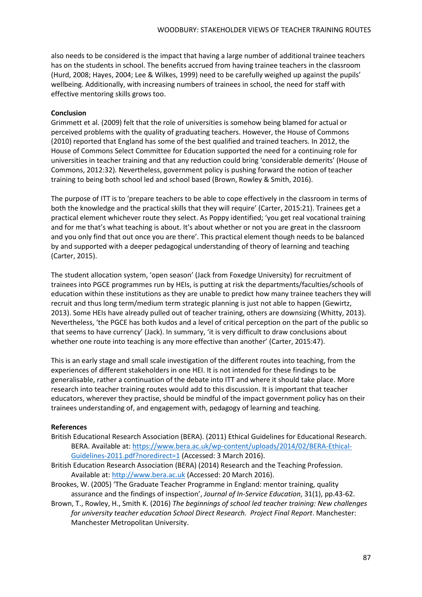also needs to be considered is the impact that having a large number of additional trainee teachers has on the students in school. The benefits accrued from having trainee teachers in the classroom (Hurd, 2008; Hayes, 2004; Lee & Wilkes, 1999) need to be carefully weighed up against the pupils' wellbeing. Additionally, with increasing numbers of trainees in school, the need for staff with effective mentoring skills grows too.

## **Conclusion**

Grimmett et al. (2009) felt that the role of universities is somehow being blamed for actual or perceived problems with the quality of graduating teachers. However, the House of Commons (2010) reported that England has some of the best qualified and trained teachers. In 2012, the House of Commons Select Committee for Education supported the need for a continuing role for universities in teacher training and that any reduction could bring 'considerable demerits' (House of Commons, 2012:32). Nevertheless, government policy is pushing forward the notion of teacher training to being both school led and school based (Brown, Rowley & Smith, 2016).

The purpose of ITT is to 'prepare teachers to be able to cope effectively in the classroom in terms of both the knowledge and the practical skills that they will require' (Carter, 2015:21). Trainees get a practical element whichever route they select. As Poppy identified; 'you get real vocational training and for me that's what teaching is about. It's about whether or not you are great in the classroom and you only find that out once you are there'. This practical element though needs to be balanced by and supported with a deeper pedagogical understanding of theory of learning and teaching (Carter, 2015).

The student allocation system, 'open season' (Jack from Foxedge University) for recruitment of trainees into PGCE programmes run by HEIs, is putting at risk the departments/faculties/schools of education within these institutions as they are unable to predict how many trainee teachers they will recruit and thus long term/medium term strategic planning is just not able to happen (Gewirtz, 2013). Some HEIs have already pulled out of teacher training, others are downsizing (Whitty, 2013). Nevertheless, 'the PGCE has both kudos and a level of critical perception on the part of the public so that seems to have currency' (Jack). In summary, 'it is very difficult to draw conclusions about whether one route into teaching is any more effective than another' (Carter, 2015:47).

This is an early stage and small scale investigation of the different routes into teaching, from the experiences of different stakeholders in one HEI. It is not intended for these findings to be generalisable, rather a continuation of the debate into ITT and where it should take place. More research into teacher training routes would add to this discussion. It is important that teacher educators, wherever they practise, should be mindful of the impact government policy has on their trainees understanding of, and engagement with, pedagogy of learning and teaching.

### **References**

- British Educational Research Association (BERA). (2011) Ethical Guidelines for Educational Research. BERA. Available at: [https://www.bera.ac.uk/wp-content/uploads/2014/02/BERA-Ethical-](https://www.bera.ac.uk/wp-content/uploads/2014/02/BERA-Ethical-Guidelines-2011.pdf?noredirect=1)[Guidelines-2011.pdf?noredirect=1](https://www.bera.ac.uk/wp-content/uploads/2014/02/BERA-Ethical-Guidelines-2011.pdf?noredirect=1) (Accessed: 3 March 2016).
- British Education Research Association (BERA) (2014) Research and the Teaching Profession. Available at: [http://www.bera.ac.uk](http://www.bera.ac.uk/) (Accessed: 20 March 2016).
- Brookes, W. (2005) 'The Graduate Teacher Programme in England: mentor training, quality assurance and the findings of inspection', *Journal of In-Service Education*, 31(1), pp.43-62.
- Brown, T., Rowley, H., Smith K. (2016) *The beginnings of school led teacher training: New challenges for university teacher education School Direct Research. Project Final Report*. Manchester: Manchester Metropolitan University.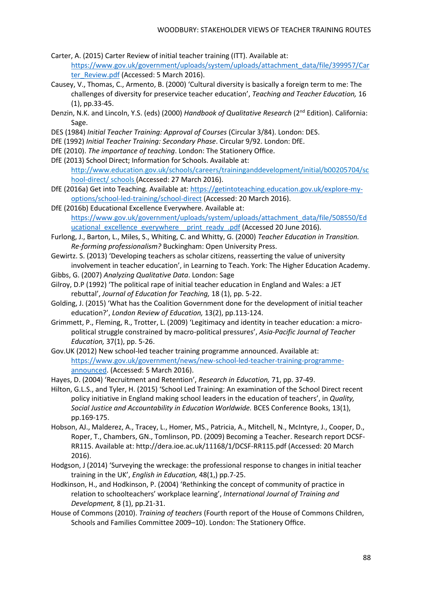- Carter, A. (2015) Carter Review of initial teacher training (ITT). Available at: [https://www.gov.uk/government/uploads/system/uploads/attachment\\_data/file/399957/Car](https://www.gov.uk/government/uploads/system/uploads/attachment_data/file/399957/Carter_Review.pdf) [ter\\_Review.pdf](https://www.gov.uk/government/uploads/system/uploads/attachment_data/file/399957/Carter_Review.pdf) (Accessed: 5 March 2016).
- Causey, V., Thomas, C., Armento, B. (2000) 'Cultural diversity is basically a foreign term to me: The challenges of diversity for preservice teacher education', *Teaching and Teacher Education,* 16 (1), pp.33-45.
- Denzin, N.K. and Lincoln, Y.S. (eds) (2000) *Handbook of Qualitative Research* (2nd Edition). California: Sage.
- DES (1984) *Initial Teacher Training: Approval of Courses* (Circular 3/84). London: DES.
- DfE (1992) *Initial Teacher Training: Secondary Phase*. Circular 9/92. London: DfE.
- DfE (2010). *The importance of teaching*. London: The Stationery Office.
- DfE (2013) School Direct; Information for Schools. Available at: http://www.education.gov.uk/schools/careers/traininganddevelopment/initial/b00205704/sc hool-direct/ schools (Accessed: 27 March 2016).
- DfE (2016a) Get into Teaching. Available at: [https://getintoteaching.education.gov.uk/explore-my](https://getintoteaching.education.gov.uk/explore-my-options/school-led-training/school-direct)[options/school-led-training/school-direct](https://getintoteaching.education.gov.uk/explore-my-options/school-led-training/school-direct) (Accessed: 20 March 2016).
- DfE (2016b) Educational Excellence Everywhere. Available at: [https://www.gov.uk/government/uploads/system/uploads/attachment\\_data/file/508550/Ed](https://www.gov.uk/government/uploads/system/uploads/attachment_data/file/508550/Educational_excellence_everywhere__print_ready_.pdf) ucational excellence everywhere print ready .pdf (Accessed 20 June 2016).
- Furlong, J., Barton, L., Miles, S., Whiting, C. and Whitty, G. (2000) *Teacher Education in Transition. Re-forming professionalism?* Buckingham: Open University Press.
- Gewirtz. S. (2013) 'Developing teachers as scholar citizens, reasserting the value of university involvement in teacher education', in Learning to Teach. York: The Higher Education Academy.
- Gibbs, G. (2007) *Analyzing Qualitative Data*. London: Sage
- Gilroy, D.P (1992) 'The political rape of initial teacher education in England and Wales: a JET rebuttal', *Journal of Education for Teaching,* 18 (1), pp. 5-22.
- Golding, J. (2015) 'What has the Coalition Government done for the development of initial teacher education?', *London Review of Education,* 13(2), pp.113-124.
- Grimmett, P., Fleming, R., Trotter, L. (2009) 'Legitimacy and identity in teacher education: a micropolitical struggle constrained by macro-political pressures', *Asia-Pacific Journal of Teacher Education,* 37(1), pp. 5-26.
- Gov.UK (2012) New school-led teacher training programme announced. Available at: [https://www.gov.uk/government/news/new-school-led-teacher-training-programme](https://www.gov.uk/government/news/new-school-led-teacher-training-programme-announced)[announced.](https://www.gov.uk/government/news/new-school-led-teacher-training-programme-announced) (Accessed: 5 March 2016).

Hayes, D. (2004) 'Recruitment and Retention', *Research in Education,* 71, pp. 37-49.

- Hilton, G.L.S., and Tyler, H. (2015) 'School Led Training: An examination of the School Direct recent policy initiative in England making school leaders in the education of teachers', in *Quality, Social Justice and Accountability in Education Worldwide.* BCES Conference Books, 13(1), pp.169-175.
- Hobson, AJ., Malderez, A., Tracey, L., Homer, MS., Patricia, A., Mitchell, N., McIntyre, J., Cooper, D., Roper, T., Chambers, GN., Tomlinson, PD. (2009) Becoming a Teacher. Research report DCSF-RR115. Available at: http://dera.ioe.ac.uk/11168/1/DCSF-RR115.pdf (Accessed: 20 March 2016).
- Hodgson, J (2014) 'Surveying the wreckage: the professional response to changes in initial teacher training in the UK', *English in Education,* 48(1,) pp.7-25.
- Hodkinson, H., and Hodkinson, P. (2004) 'Rethinking the concept of community of practice in relation to schoolteachers' workplace learning', *International Journal of Training and Development,* 8 (1), pp.21-31.
- House of Commons (2010). *Training of teachers* (Fourth report of the House of Commons Children, Schools and Families Committee 2009–10). London: The Stationery Office.